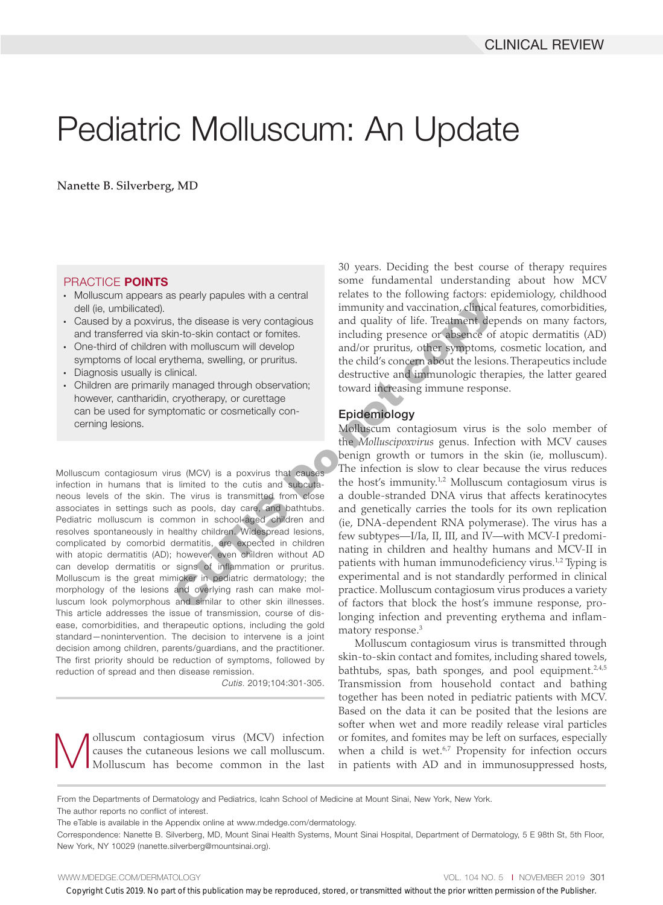# Pediatric Molluscum: An Update

Nanette B. Silverberg, MD

#### PRACTICE POINTS

- • Molluscum appears as pearly papules with a central dell (ie, umbilicated).
- Caused by a poxvirus, the disease is very contagious and transferred via skin-to-skin contact or fomites.
- One-third of children with molluscum will develop symptoms of local erythema, swelling, or pruritus.
- Diagnosis usually is clinical.
- Children are primarily managed through observation; however, cantharidin, cryotherapy, or curettage can be used for symptomatic or cosmetically concerning lesions.

Molluscum contagiosum virus (MCV) is a poxvirus that causes infection in humans that is limited to the cutis and subcutaneous levels of the skin. The virus is transmitted from close associates in settings such as pools, day care, and bathtubs. Pediatric molluscum is common in school-aged children and resolves spontaneously in healthy children. Widespread lesions, complicated by comorbid dermatitis, are expected in children with atopic dermatitis (AD); however, even children without AD can develop dermatitis or signs of inflammation or pruritus. Molluscum is the great mimicker in pediatric dermatology; the morphology of the lesions and overlying rash can make molluscum look polymorphous and similar to other skin illnesses. This article addresses the issue of transmission, course of disease, comorbidities, and therapeutic options, including the gold standard—nonintervention. The decision to intervene is a joint decision among children, parents/guardians, and the practitioner. The first priority should be reduction of symptoms, followed by reduction of spread and then disease remission.

*Cutis.* 2019;104:301-305.

**Molluscum** contagiosum virus (MCV) infection causes the cutaneous lesions we call molluscum.<br>Molluscum has become common in the last causes the cutaneous lesions we call molluscum. Molluscum has become common in the last

30 years. Deciding the best course of therapy requires some fundamental understanding about how MCV relates to the following factors: epidemiology, childhood immunity and vaccination, clinical features, comorbidities, and quality of life. Treatment depends on many factors, including presence or absence of atopic dermatitis (AD) and/or pruritus, other symptoms, cosmetic location, and the child's concern about the lesions. Therapeutics include destructive and immunologic therapies, the latter geared toward increasing immune response.

#### Epidemiology

Molluscum contagiosum virus is the solo member of the *Molluscipoxvirus* genus. Infection with MCV causes benign growth or tumors in the skin (ie, molluscum). The infection is slow to clear because the virus reduces the host's immunity.<sup>1,2</sup> Molluscum contagiosum virus is a double-stranded DNA virus that affects keratinocytes and genetically carries the tools for its own replication (ie, DNA-dependent RNA polymerase). The virus has a few subtypes—I/Ia, II, III, and IV—with MCV-I predominating in children and healthy humans and MCV-II in patients with human immunodeficiency virus.<sup>1,2</sup> Typing is experimental and is not standardly performed in clinical practice. Molluscum contagiosum virus produces a variety of factors that block the host's immune response, prolonging infection and preventing erythema and inflammatory response.3 by particle with the disease is very contagious<br>
immunity and vaccination, clinical<br>
immunity and vaccination, clinical<br>
immunity and vaccination, clinical<br>
with molluscum will develop<br>
thema, swelling, or pruritus.<br>
the c

> Molluscum contagiosum virus is transmitted through skin-to-skin contact and fomites, including shared towels, bathtubs, spas, bath sponges, and pool equipment.<sup>2,4,5</sup> Transmission from household contact and bathing together has been noted in pediatric patients with MCV. Based on the data it can be posited that the lesions are softer when wet and more readily release viral particles or fomites, and fomites may be left on surfaces, especially when a child is wet. $67$  Propensity for infection occurs in patients with AD and in immunosuppressed hosts,

WWW.MDEDGE.COM/DERMATOLOGY **VOL. 104 NO. 5 I NOVEMBER 2019 301** 

From the Departments of Dermatology and Pediatrics, Icahn School of Medicine at Mount Sinai, New York, New York.

The author reports no conflict of interest.

The eTable is available in the Appendix online at www.mdedge.com/dermatology.

Correspondence: Nanette B. Silverberg, MD, Mount Sinai Health Systems, Mount Sinai Hospital, Department of Dermatology, 5 E 98th St, 5th Floor, New York, NY 10029 (nanette.silverberg@mountsinai.org).

Copyright Cutis 2019. No part of this publication may be reproduced, stored, or transmitted without the prior written permission of the Publisher.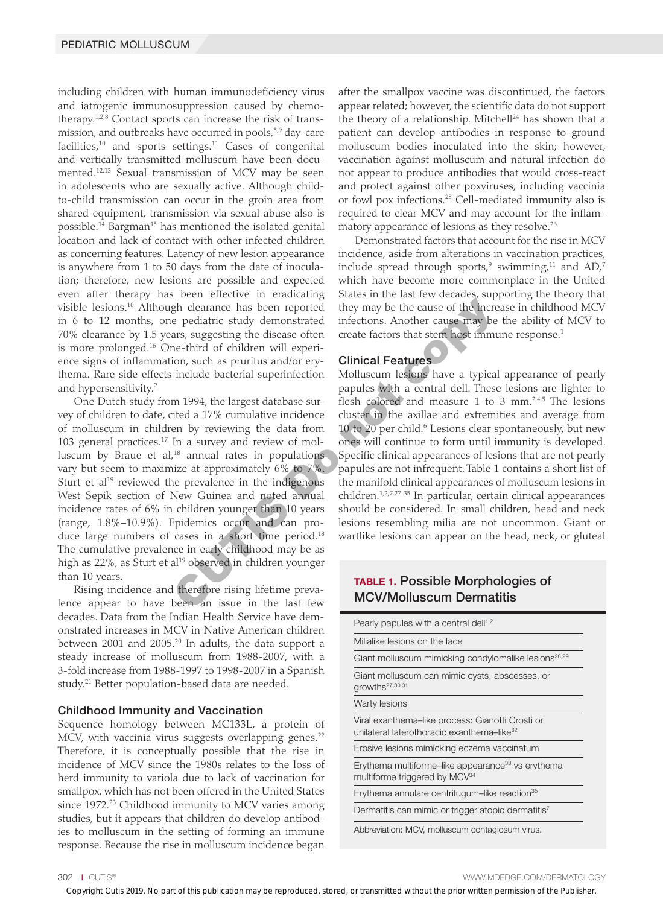including children with human immunodeficiency virus and iatrogenic immunosuppression caused by chemotherapy. $1,2,8$  Contact sports can increase the risk of transmission, and outbreaks have occurred in pools,<sup>5,9</sup> day-care facilities,<sup>10</sup> and sports settings.<sup>11</sup> Cases of congenital and vertically transmitted molluscum have been documented.12,13 Sexual transmission of MCV may be seen in adolescents who are sexually active. Although childto-child transmission can occur in the groin area from shared equipment, transmission via sexual abuse also is possible.14 Bargman15 has mentioned the isolated genital location and lack of contact with other infected children as concerning features. Latency of new lesion appearance is anywhere from 1 to 50 days from the date of inoculation; therefore, new lesions are possible and expected even after therapy has been effective in eradicating visible lesions.10 Although clearance has been reported in 6 to 12 months, one pediatric study demonstrated 70% clearance by 1.5 years, suggesting the disease often is more prolonged.16 One-third of children will experience signs of inflammation, such as pruritus and/or erythema. Rare side effects include bacterial superinfection and hypersensitivity.2

One Dutch study from 1994, the largest database survey of children to date, cited a 17% cumulative incidence of molluscum in children by reviewing the data from 103 general practices.17 In a survey and review of molluscum by Braue et al, $18$  annual rates in populations vary but seem to maximize at approximately 6% to 7%. Sturt et al<sup>19</sup> reviewed the prevalence in the indigenous West Sepik section of New Guinea and noted annual incidence rates of 6% in children younger than 10 years (range, 1.8%–10.9%). Epidemics occur and can produce large numbers of cases in a short time period.<sup>18</sup> The cumulative prevalence in early childhood may be as high as 22%, as Sturt et al<sup>19</sup> observed in children younger than 10 years. gh clearance has been reported<br>they may be the cause of the increase perpediatric study demonstrated<br>infections. Another cause may be<br>example and the incrementation of children will experience the actors that stem host im

Rising incidence and therefore rising lifetime prevalence appear to have been an issue in the last few decades. Data from the Indian Health Service have demonstrated increases in MCV in Native American children between 2001 and 2005.<sup>20</sup> In adults, the data support a steady increase of molluscum from 1988-2007, with a 3-fold increase from 1988-1997 to 1998-2007 in a Spanish study.<sup>21</sup> Better population-based data are needed.

#### Childhood Immunity and Vaccination

Sequence homology between MC133L, a protein of MCV, with vaccinia virus suggests overlapping genes.<sup>22</sup> Therefore, it is conceptually possible that the rise in incidence of MCV since the 1980s relates to the loss of herd immunity to variola due to lack of vaccination for smallpox, which has not been offered in the United States since 1972.<sup>23</sup> Childhood immunity to MCV varies among studies, but it appears that children do develop antibodies to molluscum in the setting of forming an immune response. Because the rise in molluscum incidence began

after the smallpox vaccine was discontinued, the factors appear related; however, the scientific data do not support the theory of a relationship. Mitchell<sup>24</sup> has shown that a patient can develop antibodies in response to ground molluscum bodies inoculated into the skin; however, vaccination against molluscum and natural infection do not appear to produce antibodies that would cross-react and protect against other poxviruses, including vaccinia or fowl pox infections.25 Cell-mediated immunity also is required to clear MCV and may account for the inflammatory appearance of lesions as they resolve.26

Demonstrated factors that account for the rise in MCV incidence, aside from alterations in vaccination practices, include spread through sports, $9$  swimming, $^{11}$  and AD, $^7$ which have become more commonplace in the United States in the last few decades, supporting the theory that they may be the cause of the increase in childhood MCV infections. Another cause may be the ability of MCV to create factors that stem host immune response.<sup>1</sup>

#### Clinical Features

Molluscum lesions have a typical appearance of pearly papules with a central dell. These lesions are lighter to flesh colored and measure 1 to 3 mm. $2.4,5$  The lesions cluster in the axillae and extremities and average from 10 to 20 per child.<sup>6</sup> Lesions clear spontaneously, but new ones will continue to form until immunity is developed. Specific clinical appearances of lesions that are not pearly papules are not infrequent. Table 1 contains a short list of the manifold clinical appearances of molluscum lesions in children.1,2,7,27-35 In particular, certain clinical appearances should be considered. In small children, head and neck lesions resembling milia are not uncommon. Giant or wartlike lesions can appear on the head, neck, or gluteal

## TABLE 1. Possible Morphologies of MCV/Molluscum Dermatitis

| Pearly papules with a central dell <sup>1,2</sup>                                                          |  |
|------------------------------------------------------------------------------------------------------------|--|
| Milialike lesions on the face                                                                              |  |
| Giant molluscum mimicking condylomalike lesions <sup>28,29</sup>                                           |  |
| Giant molluscum can mimic cysts, abscesses, or<br>growths <sup>27,30,31</sup>                              |  |
| <b>Warty lesions</b>                                                                                       |  |
| Viral exanthema–like process: Gianotti Crosti or<br>unilateral laterothoracic exanthema-like <sup>32</sup> |  |
| Erosive lesions mimicking eczema vaccinatum                                                                |  |
| Erythema multiforme–like appearance <sup>33</sup> vs erythema<br>multiforme triggered by MCV <sup>34</sup> |  |
| Erythema annulare centrifugum–like reaction <sup>35</sup>                                                  |  |
| Dermatitis can mimic or trigger atopic dermatitis <sup>7</sup>                                             |  |
| Abbreviation: MCV, molluscum contagiosum virus.                                                            |  |

302 I CUTIS® WWW.MDEDGE.COM/DERMATOLOGY

Copyright Cutis 2019. No part of this publication may be reproduced, stored, or transmitted without the prior written permission of the Publisher.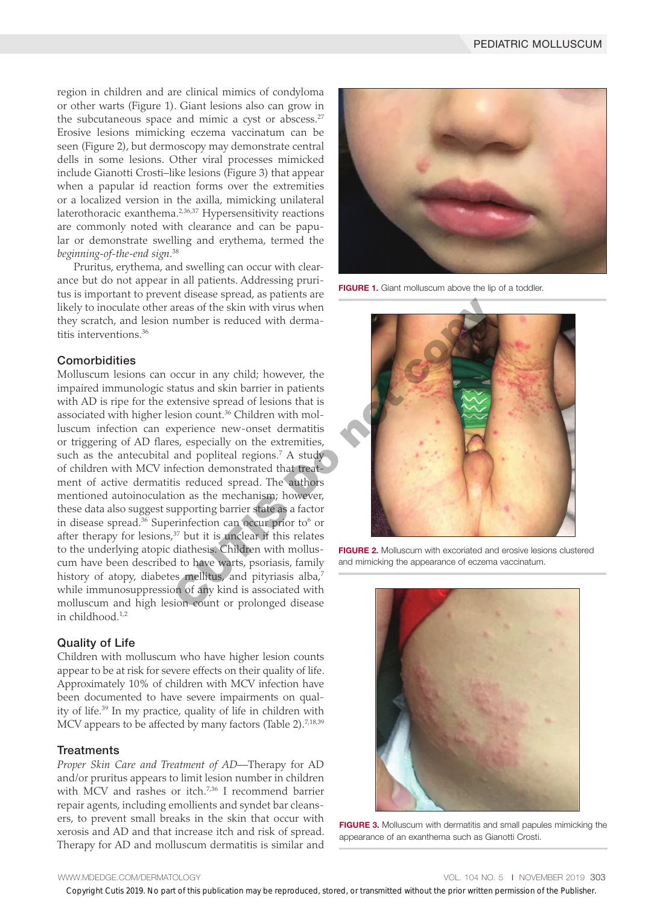region in children and are clinical mimics of condyloma or other warts (Figure 1). Giant lesions also can grow in the subcutaneous space and mimic a cyst or abscess. $27$ Erosive lesions mimicking eczema vaccinatum can be seen (Figure 2), but dermoscopy may demonstrate central dells in some lesions. Other viral processes mimicked include Gianotti Crosti–like lesions (Figure 3) that appear when a papular id reaction forms over the extremities or a localized version in the axilla, mimicking unilateral laterothoracic exanthema.<sup>2,36,37</sup> Hypersensitivity reactions are commonly noted with clearance and can be papular or demonstrate swelling and erythema, termed the *beginning-of-the-end sign*. 38

Pruritus, erythema, and swelling can occur with clearance but do not appear in all patients. Addressing pruritus is important to prevent disease spread, as patients are likely to inoculate other areas of the skin with virus when they scratch, and lesion number is reduced with dermatitis interventions.36

### **Comorbidities**

Molluscum lesions can occur in any child; however, the impaired immunologic status and skin barrier in patients with AD is ripe for the extensive spread of lesions that is associated with higher lesion count.<sup>36</sup> Children with molluscum infection can experience new-onset dermatitis or triggering of AD flares, especially on the extremities, such as the antecubital and popliteal regions.<sup>7</sup> A study of children with MCV infection demonstrated that treatment of active dermatitis reduced spread. The authors mentioned autoinoculation as the mechanism; however, these data also suggest supporting barrier state as a factor in disease spread.<sup>36</sup> Superinfection can occur prior to<sup>6</sup> or after therapy for lesions, $37$  but it is unclear if this relates to the underlying atopic diathesis. Children with molluscum have been described to have warts, psoriasis, family history of atopy, diabetes mellitus, and pityriasis alba,<sup>7</sup> while immunosuppression of any kind is associated with molluscum and high lesion count or prolonged disease in childhood.1,2 The state of the skin with virus when<br>
areas of the skin with virus when<br>
number is reduced with derma-<br>
number is reduced of lesions that is<br>
states and skin barrier in patients<br>
states and spoiled regions.<sup>7</sup> A study<br>
an

### Quality of Life

Children with molluscum who have higher lesion counts appear to be at risk for severe effects on their quality of life. Approximately 10% of children with MCV infection have been documented to have severe impairments on quality of life.39 In my practice, quality of life in children with MCV appears to be affected by many factors (Table 2). $7,18,39$ 

#### **Treatments**

*Proper Skin Care and Treatment of AD*—Therapy for AD and/or pruritus appears to limit lesion number in children with MCV and rashes or itch.<sup>7,36</sup> I recommend barrier repair agents, including emollients and syndet bar cleansers, to prevent small breaks in the skin that occur with xerosis and AD and that increase itch and risk of spread. Therapy for AD and molluscum dermatitis is similar and



FIGURE 1. Giant molluscum above the lip of a toddler.



FIGURE 2. Molluscum with excoriated and erosive lesions clustered and mimicking the appearance of eczema vaccinatum.



FIGURE 3. Molluscum with dermatitis and small papules mimicking the appearance of an exanthema such as Gianotti Crosti.

Copyright Cutis 2019. No part of this publication may be reproduced, stored, or transmitted without the prior written permission of the Publisher.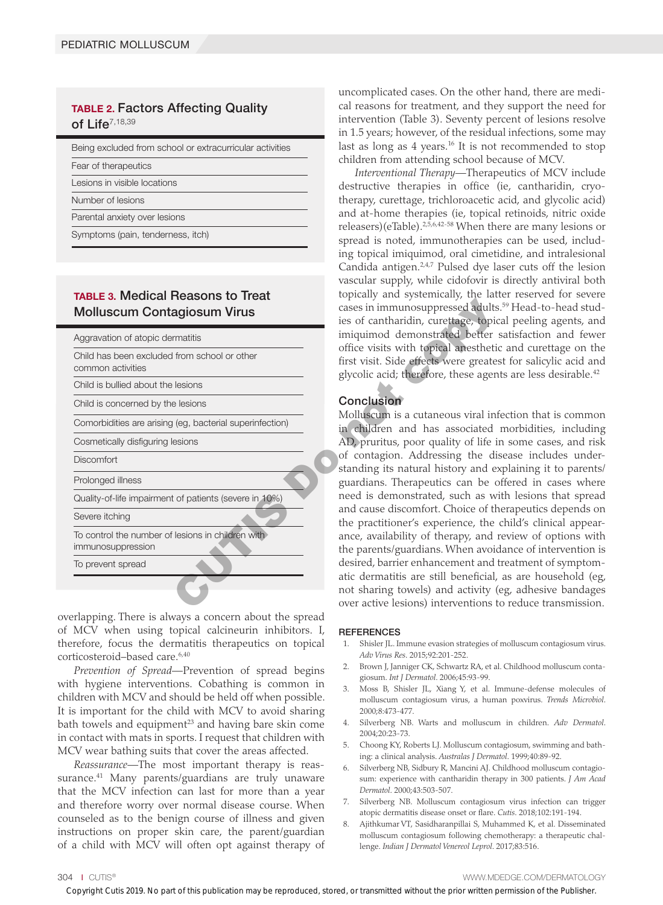# TABLE 2. Factors Affecting Quality of Life $^{7,18,39}$

| Being excluded from school or extracurricular activities |
|----------------------------------------------------------|
| Fear of therapeutics                                     |
| Lesions in visible locations                             |
| Number of lesions                                        |
| Parental anxiety over lesions                            |
| Symptoms (pain, tenderness, itch)                        |

# TABLE 3. Medical Reasons to Treat Molluscum Contagiosum Virus

| IADLL J. IVICUICAI HCASUIS LU TICAL<br><b>Molluscum Contagiosum Virus</b> | cases in immunosuppressed adults<br>ies of cantharidin, curettage, topi                                               |
|---------------------------------------------------------------------------|-----------------------------------------------------------------------------------------------------------------------|
| Aggravation of atopic dermatitis                                          | imiquimod demonstrated better                                                                                         |
| Child has been excluded from school or other<br>common activities         | office visits with topical anestheti<br>first visit. Side effects were greate<br>glycolic acid; therefore, these ager |
| Child is bullied about the lesions                                        |                                                                                                                       |
| Child is concerned by the lesions                                         | Conclusion                                                                                                            |
| Comorbidities are arising (eg, bacterial superinfection)                  | Molluscum is a cutaneous viral in<br>in children and has associated                                                   |
| Cosmetically disfiguring lesions                                          | AD, pruritus, poor quality of life i                                                                                  |
| <b>Discomfort</b>                                                         | of contagion. Addressing the di<br>standing its natural history and e                                                 |
| Prolonged illness                                                         | guardians. Therapeutics can be o                                                                                      |
| Quality-of-life impairment of patients (severe in 10%)                    | need is demonstrated, such as w                                                                                       |
| Severe itching                                                            | and cause discomfort. Choice of the<br>the practitioner's experience, the                                             |
| To control the number of lesions in children with<br>immunosuppression    | ance, availability of therapy, and<br>the parents/guardians. When avoi-                                               |
| To prevent spread                                                         | desired, barrier enhancement and<br>atic dermatitis are still beneficial,                                             |
|                                                                           | not sharing towels) and activity<br>over active lesions) interventions                                                |

overlapping. There is always a concern about the spread of MCV when using topical calcineurin inhibitors. I, therefore, focus the dermatitis therapeutics on topical corticosteroid–based care.<sup>6,40</sup>

*Prevention of Spread*—Prevention of spread begins with hygiene interventions. Cobathing is common in children with MCV and should be held off when possible. It is important for the child with MCV to avoid sharing bath towels and equipment<sup>23</sup> and having bare skin come in contact with mats in sports. I request that children with MCV wear bathing suits that cover the areas affected.

*Reassurance*—The most important therapy is reassurance.<sup>41</sup> Many parents/guardians are truly unaware that the MCV infection can last for more than a year and therefore worry over normal disease course. When counseled as to the benign course of illness and given instructions on proper skin care, the parent/guardian of a child with MCV will often opt against therapy of uncomplicated cases. On the other hand, there are medical reasons for treatment, and they support the need for intervention (Table 3). Seventy percent of lesions resolve in 1.5 years; however, of the residual infections, some may last as long as 4 years.16 It is not recommended to stop children from attending school because of MCV.

*Interventional Therapy*—Therapeutics of MCV include destructive therapies in office (ie, cantharidin, cryotherapy, curettage, trichloroacetic acid, and glycolic acid) and at-home therapies (ie, topical retinoids, nitric oxide releasers)(eTable).2,5,6,42-58 When there are many lesions or spread is noted, immunotherapies can be used, including topical imiquimod, oral cimetidine, and intralesional Candida antigen.2,4,7 Pulsed dye laser cuts off the lesion vascular supply, while cidofovir is directly antiviral both topically and systemically, the latter reserved for severe cases in immunosuppressed adults.59 Head-to-head studies of cantharidin, curettage, topical peeling agents, and imiquimod demonstrated better satisfaction and fewer office visits with topical anesthetic and curettage on the first visit. Side effects were greatest for salicylic acid and glycolic acid; therefore, these agents are less desirable.<sup>42</sup>

#### Conclusion

Molluscum is a cutaneous viral infection that is common in children and has associated morbidities, including AD, pruritus, poor quality of life in some cases, and risk of contagion. Addressing the disease includes understanding its natural history and explaining it to parents/ guardians. Therapeutics can be offered in cases where need is demonstrated, such as with lesions that spread and cause discomfort. Choice of therapeutics depends on the practitioner's experience, the child's clinical appearance, availability of therapy, and review of options with the parents/guardians. When avoidance of intervention is desired, barrier enhancement and treatment of symptomatic dermatitis are still beneficial, as are household (eg, not sharing towels) and activity (eg, adhesive bandages over active lesions) interventions to reduce transmission.

#### REFERENCES

- 1. Shisler JL. Immune evasion strategies of molluscum contagiosum virus. *Adv Virus Res*. 2015;92:201-252.
- 2. Brown J, Janniger CK, Schwartz RA, et al. Childhood molluscum contagiosum. *Int J Dermatol*. 2006;45:93-99.
- 3. Moss B, Shisler JL, Xiang Y, et al. Immune-defense molecules of molluscum contagiosum virus, a human poxvirus. *Trends Microbiol*. 2000;8:473-477.
- 4. Silverberg NB. Warts and molluscum in children. *Adv Dermatol*. 2004;20:23-73.
- 5. Choong KY, Roberts LJ. Molluscum contagiosum, swimming and bathing: a clinical analysis. *Australas J Dermatol*. 1999;40:89-92.
- 6. Silverberg NB, Sidbury R, Mancini AJ. Childhood molluscum contagiosum: experience with cantharidin therapy in 300 patients. *J Am Acad Dermatol*. 2000;43:503-507.
- 7. Silverberg NB. Molluscum contagiosum virus infection can trigger atopic dermatitis disease onset or flare. *Cutis*. 2018;102:191-194.
- 8. Ajithkumar VT, Sasidharanpillai S, Muhammed K, et al. Disseminated molluscum contagiosum following chemotherapy: a therapeutic challenge. *Indian J Dermatol Venereol Leprol*. 2017;83:516.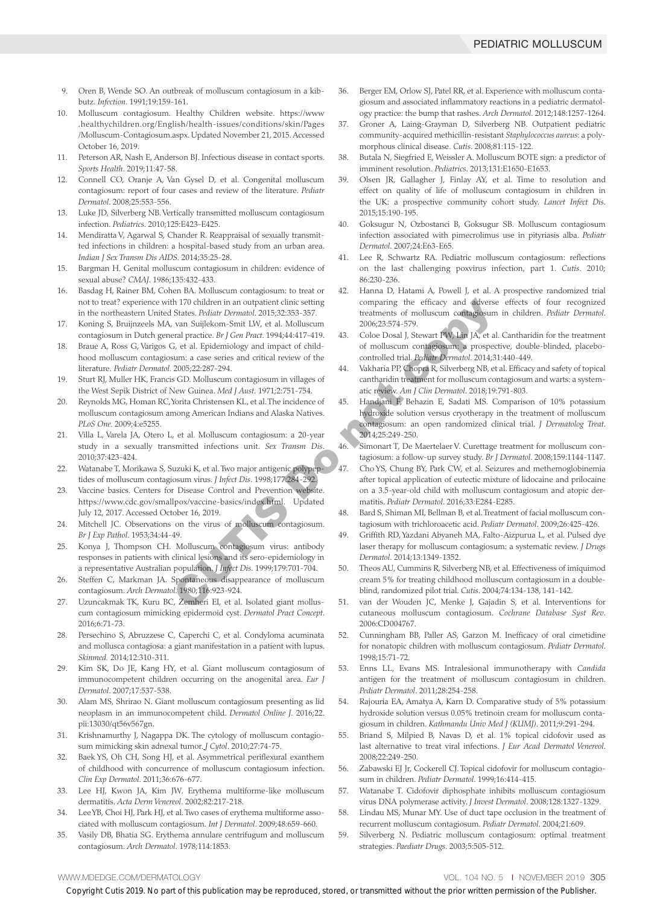- 9. Oren B, Wende SO. An outbreak of molluscum contagiosum in a kibbutz. *Infection*. 1991;19:159-161.
- 10. Molluscum contagiosum. Healthy Children website. https://www .healthychildren.org/English/health-issues/conditions/skin/Pages /Molluscum-Contagiosum.aspx. Updated November 21, 2015. Accessed October 16, 2019.
- 11. Peterson AR, Nash E, Anderson BJ. Infectious disease in contact sports. *Sports Health*. 2019;11:47-58.
- 12. Connell CO, Oranje A, Van Gysel D, et al. Congenital molluscum contagiosum: report of four cases and review of the literature. *Pediatr Dermatol*. 2008;25:553-556.
- 13. Luke JD, Silverberg NB. Vertically transmitted molluscum contagiosum infection. *Pediatrics*. 2010;125:E423-E425.
- 14. Mendiratta V, Agarwal S, Chander R. Reappraisal of sexually transmitted infections in children: a hospital-based study from an urban area. *Indian J Sex Transm Dis AIDS*. 2014;35:25-28.
- 15. Bargman H. Genital molluscum contagiosum in children: evidence of sexual abuse? *CMAJ*. 1986;135:432-433.
- 16. Basdag H, Rainer BM, Cohen BA. Molluscum contagiosum: to treat or not to treat? experience with 170 children in an outpatient clinic setting in the northeastern United States. *Pediatr Dermatol*. 2015;32:353-357.
- 17. Koning S, Bruijnzeels MA, van Suijlekom-Smit LW, et al. Molluscum contagiosum in Dutch general practice. *Br J Gen Pract*. 1994;44:417-419.
- 18. [Braue A](https://www.ncbi.nlm.nih.gov/pubmed/?term=Braue%20A%5BAuthor%5D&cauthor=true&cauthor_uid=16060861), [Ross G](https://www.ncbi.nlm.nih.gov/pubmed/?term=Ross%20G%5BAuthor%5D&cauthor=true&cauthor_uid=16060861), [Varigos G,](https://www.ncbi.nlm.nih.gov/pubmed/?term=Varigos%20G%5BAuthor%5D&cauthor=true&cauthor_uid=16060861) et al. Epidemiology and impact of childhood molluscum contagiosum: a case series and critical review of the literature. *[Pediatr Dermatol.](https://www.ncbi.nlm.nih.gov/pubmed/?term=molluscum+braue)* 2005;22:287-294.
- 19. Sturt RJ, Muller HK, Francis GD. Molluscum contagiosum in villages of the West Sepik District of New Guinea. *Med J Aust*. 1971;2:751-754.
- 20. Reynolds MG, Homan RC, Yorita Christensen KL, et al. The incidence of molluscum contagiosum among American Indians and Alaska Natives. *[PLoS One.](https://www.ncbi.nlm.nih.gov/pmc/articles/PMC2667635/)* 2009;4:e5255.
- 21. Villa L, Varela JA, Otero L, et al. Molluscum contagiosum: a 20-year study in a sexually transmitted infections unit. *Sex Transm Dis*. 2010;37:423-424.
- 22. Watanabe T, Morikawa S, Suzuki K, et al. Two major antigenic polypeptides of molluscum contagiosum virus. *J Infect Dis*. 1998;177:284-292.
- 23. Vaccine basics. Centers for Disease Control and Prevention website. https://www.cdc.gov/smallpox/vaccine-basics/index.html. Updated July 12, 2017. Accessed October 16, 2019.
- 24. Mitchell JC. Observations on the virus of molluscum contagiosum. *Br J Exp Pathol*. 1953;34:44-49.
- 25. Konya J, Thompson CH. Molluscum contagiosum virus: antibody responses in patients with clinical lesions and its sero-epidemiology in a representative Australian population. *J Infect Dis*. 1999;179:701-704.
- 26. Steffen C, Markman JA. Spontaneous disappearance of molluscum contagiosum. *Arch Dermatol*. 1980;116:923-924.
- 27. Uzuncakmak TK, Kuru BC, Zemheri EI, et al. Isolated giant molluscum contagiosum mimicking epidermoid cyst. *Dermatol Pract Concept*. 2016;6:71-73.
- 28. Persechino S, Abruzzese C, Caperchi C, et al. Condyloma acuminata and mollusca contagiosa: a giant manifestation in a patient with lupus. *Skinmed.* 2014;12:310-311.
- 29. Kim SK, Do JE, Kang HY, et al. Giant molluscum contagiosum of immunocompetent children occurring on the anogenital area. *Eur J Dermatol*. 2007;17:537-538.
- 30. Alam MS, Shrirao N. Giant molluscum contagiosum presenting as lid neoplasm in an immunocompetent child. *Dermatol Online J*. 2016;22. pii:13030/qt56v567gn.
- 31. Krishnamurthy J, Nagappa DK. The cytology of molluscum contagiosum mimicking skin adnexal tumor. *J Cytol*. 2010;27:74-75.
- 32. Baek YS, Oh CH, Song HJ, et al. Asymmetrical periflexural exanthem of childhood with concurrence of molluscum contagiosum infection. *Clin Exp Dermatol*. 2011;36:676-677.
- 33. Lee HJ, Kwon JA, Kim JW. Erythema multiforme-like molluscum dermatitis. *Acta Derm Venereol*. 2002;82:217-218.
- 34. Lee YB, Choi HJ, Park HJ, et al. Two cases of erythema multiforme associated with molluscum contagiosum. *Int J Dermatol*. 2009;48:659-660.
- 35. Vasily DB, Bhatia SG. Erythema annulare centrifugum and molluscum contagiosum. *Arch Dermatol*. 1978;114:1853.
- 36. Berger EM, Orlow SJ, Patel RR, [et](https://www.ncbi.nlm.nih.gov/pubmed/?term=Schaffer%20JV%5BAuthor%5D&cauthor=true&cauthor_uid=22911012) al. Experience with molluscum contagiosum and associated inflammatory reactions in a pediatric dermatology practice: the bump that rashes. *Arch Dermatol*. 2012;148:1257-1264.
- 37. Groner A, Laing-Grayman D, Silverberg NB. Outpatient pediatric community-acquired methicillin-resistant *Staphylococcus aureus*: a polymorphous clinical disease. *Cutis*. 2008;81:115-122.
- 38. Butala N, Siegfried E, Weissler A. Molluscum BOTE sign: a predictor of imminent resolution. *Pediatrics*. 2013;131:E1650-E1653.
- 39. Olsen JR, Gallagher J, Finlay AY, et al. Time to resolution and effect on quality of life of molluscum contagiosum in children in the UK: a prospective community cohort study. *Lancet Infect Dis*. 2015;15:190-195.
- 40. Goksugur N, Ozbostanci B, Goksugur SB. Molluscum contagiosum infection associated with pimecrolimus use in pityriasis alba. *Pediatr Dermatol*. 2007;24:E63-E65.
- 41. Lee R, Schwartz RA. Pediatric molluscum contagiosum: reflections on the last challenging poxvirus infection, part 1. *Cutis*. 2010; 86:230-236.
- 42. Hanna D, Hatami A, Powell J, et al. A prospective randomized trial comparing the efficacy and adverse effects of four recognized treatments of molluscum contagiosum in children. *Pediatr Dermatol*. 2006;23:574-579.
- 43. Coloe Dosal J, Stewart PW, Lin JA, et al. Cantharidin for the treatment of molluscum contagiosum: a prospective, double-blinded, placebocontrolled trial. *Pediatr Dermatol*. 2014;31:440-449.
- 44. Vakharia PP, Chopra R, Silverberg NB, et al. Efficacy and safety of topical cantharidin treatment for molluscum contagiosum and warts: a systematic review. *Am J Clin Dermatol*. 2018;19:791-803.
- 45. Handjani F, Behazin E, Sadati MS. Comparison of 10% potassium hydroxide solution versus cryotherapy in the treatment of molluscum contagiosum: an open randomized clinical trial. *J Dermatolog Treat*. 2014;25:249-250. At T0 children in an outpatient climic setting<br>
Schatter. Perinted Kind Density comparing the efficacy and adverset and praction of moluscum contagiosum<br>
Varia Domitic 2005,353-537.<br>
Varia Domitic 2006,23.574-579.<br>
The Pr
	- 46. Simonart T, De Maertelaer V. Curettage treatment for molluscum contagiosum: a follow-up survey study. *Br J Dermatol*. 2008;159:1144-1147.
	- 47. Cho YS, Chung BY, Park CW, et al. Seizures and methemoglobinemia after topical application of eutectic mixture of lidocaine and prilocaine on a 3.5-year-old child with molluscum contagiosum and atopic dermatitis. *Pediatr Dermatol*. 2016;33:E284-E285.
	- 48. Bard S, Shiman MI, Bellman B, et al. Treatment of facial molluscum contagiosum with trichloroacetic acid. *Pediatr Dermatol*. 2009;26:425-426.
	- 49. Griffith RD, Yazdani Abyaneh MA, Falto-Aizpurua L, [et](https://www.ncbi.nlm.nih.gov/pubmed/?term=Nouri%20K%5BAuthor%5D&cauthor=true&cauthor_uid=25607701) al. Pulsed dye laser therapy for molluscum contagiosum: a systematic review. *J Drugs Dermatol*. 2014;13:1349-1352.
	- 50. Theos AU, Cummins R, Silverberg NB, [et](https://www.ncbi.nlm.nih.gov/pubmed/?term=Paller%20AS%5BAuthor%5D&cauthor=true&cauthor_uid=15379366) al. Effectiveness of imiquimod cream 5% for treating childhood molluscum contagiosum in a doubleblind, randomized pilot trial. *Cutis*. 2004;74:134-138, 141-142.
	- 51. van der Wouden JC, Menke J, Gajadin S, et al. Interventions for cutaneous molluscum contagiosum. *Cochrane Database Syst Rev*. 2006:CD004767.
	- 52. Cunningham BB, Paller AS, Garzon M. Inefficacy of oral cimetidine for nonatopic children with molluscum contagiosum. *Pediatr Dermatol*. 1998;15:71-72.
	- 53. Enns LL, Evans MS. Intralesional immunotherapy with *Candida* antigen for the treatment of molluscum contagiosum in children. *Pediatr Dermatol*. 2011;28:254-258.
	- 54. Rajouria EA, Amatya A, Karn D. Comparative study of 5% potassium hydroxide solution versus 0.05% tretinoin cream for molluscum contagiosum in children. *Kathmandu Univ Med J (KUMJ)*. 2011;9:291-294.
	- 55. Briand S, Milpied B, Navas D, et al. 1% topical cidofovir used as last alternative to treat viral infections. *J Eur Acad Dermatol Venereol*. 2008;22:249-250.
	- 56. Zabawski EJ Jr, Cockerell CJ. Topical cidofovir for molluscum contagiosum in children. *Pediatr Dermatol*. 1999;16:414-415.
	- 57. Watanabe T. Cidofovir diphosphate inhibits molluscum contagiosum virus DNA polymerase activity. *J Invest Dermatol*. 2008;128:1327-1329.
	- 58. Lindau MS, Munar MY. Use of duct tape occlusion in the treatment of recurrent molluscum contagiosum. *Pediatr Dermatol*. 2004;21:609.
	- 59. Silverberg N. Pediatric molluscum contagiosum: optimal treatment strategies. *Paediatr Drugs*. 2003;5:505-512.

#### WWW.MDEDGE.COM/DERMATOLOGY **VOL. 104 NO. 5 I NOVEMBER 2019 305**

Copyright Cutis 2019. No part of this publication may be reproduced, stored, or transmitted without the prior written permission of the Publisher.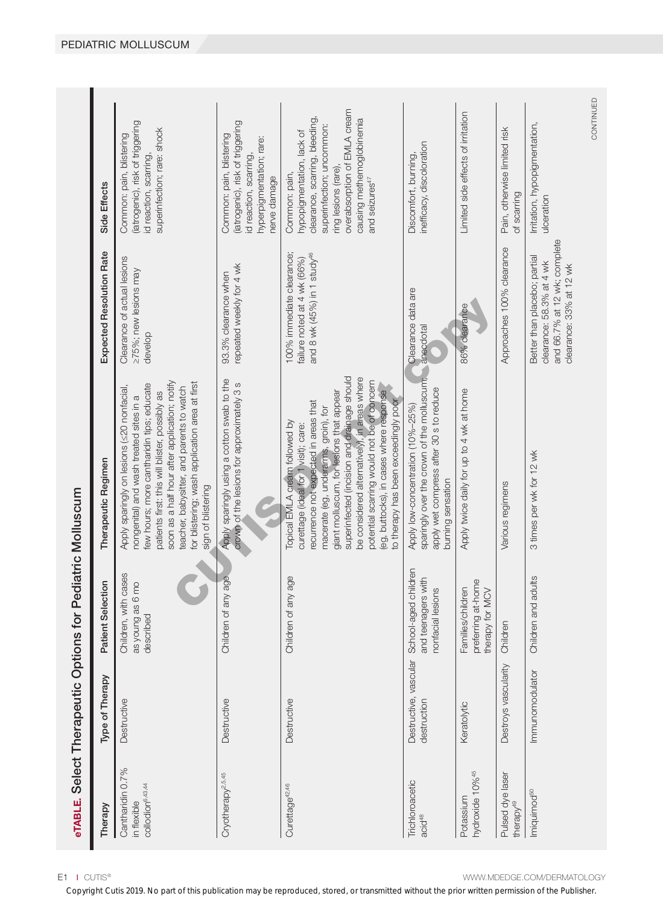| ptions for Pediatric Moll                                |
|----------------------------------------------------------|
| ֦֘<br>$\overline{\phantom{a}}$<br>Ĩ,<br>Juban<br>Juban   |
| אוווממפיזמת<br>Γ                                         |
| <br> <br> <br> <br> <br> <br><br> <br><b>BLE, Select</b> |

| Therapy                                                         | Type of Therapy                      | Selection<br>Patient                                                  | Therapeutic Regimen                                                                                                                                                                                                                                                                                                                                                                                                                 | Expected Resolution Rate                                                                                            | Side Effects                                                                                                                                                                                                                |
|-----------------------------------------------------------------|--------------------------------------|-----------------------------------------------------------------------|-------------------------------------------------------------------------------------------------------------------------------------------------------------------------------------------------------------------------------------------------------------------------------------------------------------------------------------------------------------------------------------------------------------------------------------|---------------------------------------------------------------------------------------------------------------------|-----------------------------------------------------------------------------------------------------------------------------------------------------------------------------------------------------------------------------|
| Cantharidin 0.7%<br>collodion <sup>6,43,44</sup><br>in flexible | Destructive                          | Children, with cases<br>as young as 6 mo<br>described                 | soon as a half hour after application; notify<br>for blistering; wash application area at first<br>few hours; more cantharidin tips; educate<br>teacher, babysitter, and parents to watch<br>Apply sparingly on lesions (<20 nonfacial,<br>patients first: this will blister, possibly as<br>nongenital) and wash treated sites in a<br>sign of blistering                                                                          | Clearance of actual lesions<br>≥75%; new lesions may<br>develop                                                     | (iatrogenic), risk of triggering<br>superinfection; rare: shock<br>Common: pain, blistering<br>id reaction, scarring,                                                                                                       |
| Cryotherapy <sup>2,5,45</sup>                                   | Destructive                          | Children of any age                                                   | Apply sparingly using a cotton swab to the<br>crown of the lesions for approximately 3 s                                                                                                                                                                                                                                                                                                                                            | repeated weekly for 4 wk<br>93.3% clearance when                                                                    | (iatrogenic), risk of triggering<br>Common: pain, blistering<br>hyperpigmentation; rare:<br>id reaction, scarring,<br>nerve damage                                                                                          |
| Curettage <sup>42,46</sup>                                      | Destructive                          | Children of any age                                                   | superinfected (incision and drainage should<br>be considered alternatively), in areas where<br>potential scarring would not be of concern<br>giant molluscum, for lesions that appear<br>(eg, buttocks), in cases where response<br>to therapy has been exceedingly poor<br>recurrence not expected in areas that<br>macerate (eg, underarms, groin), for<br>Topical EMLA cream followed by<br>curettage (ideal for 1 visit); care: | 100% immediate clearance;<br>and 8 wk (45%) in 1 study <sup>46</sup><br>failure noted at 4 wk (66%)                 | overabsorption of EMLA cream<br>clearance, scarring, bleeding,<br>causing methemoglobinemia<br>superinfection; uncommon:<br>hypopigmentation, lack of<br>ring lesions (rare)<br>Common: pain,<br>and seizures <sup>47</sup> |
| Trichloroacetic<br>acid <sup>48</sup>                           | Destructive, vascular<br>destruction | School-aged children<br>and teenagers with<br>nonfacial lesions       | sparingly over the crown of the molluscum;<br>apply wet compress after 30 s to reduce<br>Apply low-concentration (10%-25%)<br>burning sensation                                                                                                                                                                                                                                                                                     | Clearance data are<br>anecdotal                                                                                     | inefficacy, discoloration<br>Discomfort, burning,                                                                                                                                                                           |
| hydroxide 10% <sup>45</sup><br>Potassium                        | Keratolytic                          | preferring at-home<br>therapy for MCV<br>Families/children<br>therapy | Apply twice daily for up to 4 wk at home                                                                                                                                                                                                                                                                                                                                                                                            | 86% clearance                                                                                                       | Limited side effects of irritation                                                                                                                                                                                          |
| Pulsed dye laser<br>therapy <sup>49</sup>                       | Destroys vascularity                 | Children                                                              | Various regimens                                                                                                                                                                                                                                                                                                                                                                                                                    | Approaches 100% clearance                                                                                           | Pain, otherwise limited risk<br>of scarring                                                                                                                                                                                 |
| Imiquimod <sup>50</sup>                                         | Immunomodulator                      | Children and adults                                                   | 3 times per wk for 12 wk                                                                                                                                                                                                                                                                                                                                                                                                            | and 66.7% at 12 wk; complete<br>Better than placebo; partial<br>clearance: 58.3% at 4 wk<br>clearance: 33% at 12 wk | Irritation, hypopigmentation,<br>ulceration                                                                                                                                                                                 |
|                                                                 |                                      |                                                                       |                                                                                                                                                                                                                                                                                                                                                                                                                                     |                                                                                                                     | CONTINUED                                                                                                                                                                                                                   |

L

E1 I CUTIS<sup>®</sup>

Copyright Cutis 2019. No part of this publication may be reproduced, stored, or transmitted without the prior written permission of the Publisher.